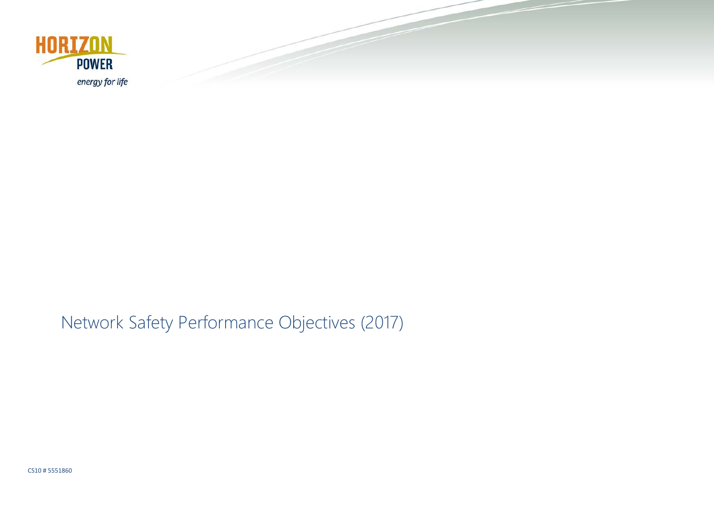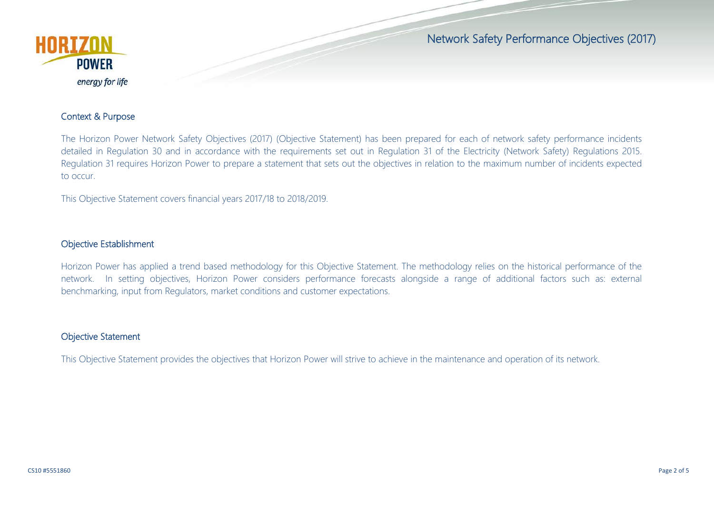

### Context & Purpose

The Horizon Power Network Safety Objectives (2017) (Objective Statement) has been prepared for each of network safety performance incidents detailed in Regulation 30 and in accordance with the requirements set out in Regulation 31 of the Electricity (Network Safety) Regulations 2015. Regulation 31 requires Horizon Power to prepare a statement that sets out the objectives in relation to the maximum number of incidents expected to occur.

This Objective Statement covers financial years 2017/18 to 2018/2019.

### Objective Establishment

Horizon Power has applied a trend based methodology for this Objective Statement. The methodology relies on the historical performance of the network. In setting objectives, Horizon Power considers performance forecasts alongside a range of additional factors such as: external benchmarking, input from Regulators, market conditions and customer expectations.

### Objective Statement

This Objective Statement provides the objectives that Horizon Power will strive to achieve in the maintenance and operation of its network.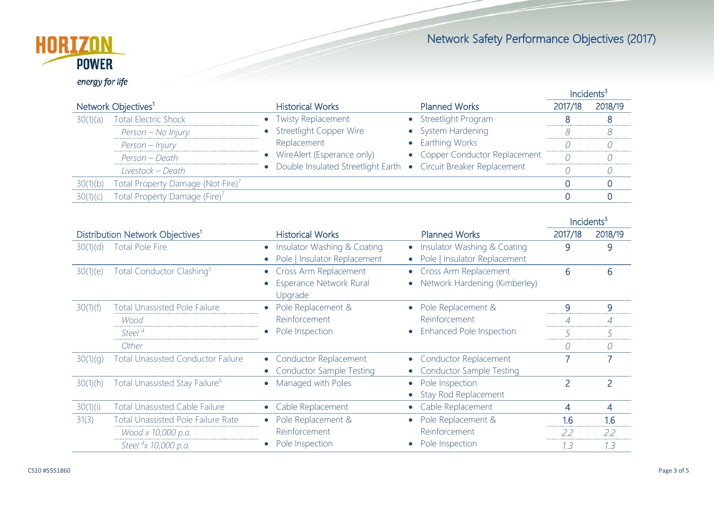

energy for life

|                                 |                                               |                                                                                                                                                                                      | Incidents <sup>3</sup>                             |         |         |
|---------------------------------|-----------------------------------------------|--------------------------------------------------------------------------------------------------------------------------------------------------------------------------------------|----------------------------------------------------|---------|---------|
| Network Objectives <sup>1</sup> |                                               | <b>Historical Works</b>                                                                                                                                                              | <b>Planned Works</b>                               | 2017/18 | 2018/19 |
| 30(1)(a)                        | <b>Total Electric Shock</b>                   | • Twisty Replacement<br><b>Streetlight Copper Wire</b><br>Replacement<br>WireAlert (Esperance only)<br>$\bullet$<br>Double Insulated Streetlight Earth • Circuit Breaker Replacement | Streetlight Program                                |         |         |
|                                 | Person - No Injury                            |                                                                                                                                                                                      | • System Hardening                                 |         |         |
|                                 | Person - Injury                               |                                                                                                                                                                                      | • Earthing Works<br>• Copper Conductor Replacement |         |         |
|                                 | Person - Death                                |                                                                                                                                                                                      |                                                    |         |         |
|                                 | Livestock - Death                             |                                                                                                                                                                                      |                                                    |         |         |
| 30(1)(b)                        | Total Property Damage (Not Fire) <sup>7</sup> |                                                                                                                                                                                      |                                                    |         |         |
| 30(1)(c)                        | Total Property Damage (Fire) <sup>7</sup>     |                                                                                                                                                                                      |                                                    |         |         |
|                                 |                                               |                                                                                                                                                                                      |                                                    |         |         |

|                                              |                                            |                                |                                           | Incidents <sup>3</sup> |                |
|----------------------------------------------|--------------------------------------------|--------------------------------|-------------------------------------------|------------------------|----------------|
| Distribution Network Objectives <sup>1</sup> |                                            | <b>Historical Works</b>        | <b>Planned Works</b>                      | 2017/18                | 2018/19        |
| 30(1)(d)                                     | <b>Total Pole Fire</b>                     | Insulator Washing & Coating    | Insulator Washing & Coating               | 9                      | 9              |
|                                              |                                            | Pole   Insulator Replacement   | Pole   Insulator Replacement              |                        |                |
| 30(1)(e)                                     | Total Conductor Clashing <sup>5</sup>      | Cross Arm Replacement          | Cross Arm Replacement<br>$\bullet$        | 6                      | 6              |
|                                              |                                            | <b>Esperance Network Rural</b> | Network Hardening (Kimberley)             |                        |                |
|                                              |                                            | Upgrade                        |                                           |                        |                |
| 30(1)(f)                                     | <b>Total Unassisted Pole Failure</b>       | Pole Replacement &             | Pole Replacement &                        | 9                      | 9              |
|                                              | Wood                                       | Reinforcement                  | Reinforcement                             | $\overline{A}$         | 4              |
|                                              | Steel <sup>4</sup>                         | Pole Inspection                | Enhanced Pole Inspection                  |                        | 5              |
|                                              | Other                                      |                                |                                           |                        | 0              |
| 30(1)(q)                                     | <b>Total Unassisted Conductor Failure</b>  | • Conductor Replacement        | <b>Conductor Replacement</b><br>$\bullet$ |                        | $\overline{7}$ |
|                                              |                                            | • Conductor Sample Testing     | <b>Conductor Sample Testing</b>           |                        |                |
| 30(1)(h)                                     | Total Unassisted Stay Failure <sup>6</sup> | Managed with Poles             | Pole Inspection<br>٠                      | 2                      | $\overline{2}$ |
|                                              |                                            |                                | Stay Rod Replacement                      |                        |                |
| 30(1)(i)                                     | <b>Total Unassisted Cable Failure</b>      | Cable Replacement              | Cable Replacement                         | 4                      | 4              |
| 31(3)                                        | <b>Total Unassisted Pole Failure Rate</b>  | Pole Replacement &             | Pole Replacement &                        | 1.6                    | 1.6            |
|                                              | Wood x 10,000 p.a.                         | Reinforcement                  | Reinforcement                             | 2.2                    | 2.2            |
|                                              | Steel <sup>4</sup> x 10,000 p.a.           | Pole Inspection                | Pole Inspection                           | 7.3                    | 7.3            |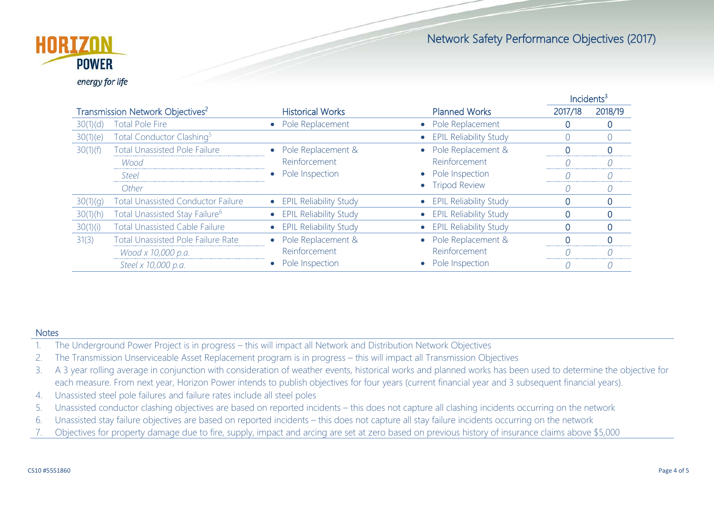

<u>Incidents<sup>3</sup></u> Incidents<sup>3</sup> Transmission Network Objectives<sup>2</sup> Historical Works Planned Works 2017/18 2018/19 30(1)(d) Total Pole Fire **•** Pole Replacement • Pole Replacement **1** 0 0 0 30(1)(e) Total Conductor Clashing5 • EPIL Reliability Study 0 0 30(1)(f) Total Unassisted Pole Failure • Pole Replacement & Reinforcement • Pole Inspection • Pole Replacement & Reinforcement • Pole Inspection • Tripod Review 0 0 *Wood 0 0 Steel 0 0* **o 111 o 111 o 111 o 111 o 111 o 111 o 111 o 111 o 111 o 1 o 1 o 1 o 1 o 1 o 1 o 1 o 1 o 1 o 1 o 1 o 1 o 1 o 1 o 1 o 1 o** 30(1)(g) Total Unassisted Conductor Failure • EPIL Reliability Study • EPIL Reliability Study 0 0 0 0 30(1)(h) Total Unassisted Stay Failure<sup>6</sup> • EPIL Reliability Study • EPIL Reliability Study **0 0** 0 30(1)(i) Total Unassisted Cable Failure • EPIL Reliability Study • EPIL Reliability Study 0 0 31(3) Total Unassisted Pole Failure Rate • Pole Replacement & Reinforcement • Pole Inspection • Pole Replacement & Reinforcement • Pole Inspection 0 0 *Wood x 10,000 p.a. 0 0 Steel x 10,000 p.a. 0 0*

### **Notes**

- 1. The Underground Power Project is in progress this will impact all Network and Distribution Network Objectives
- 2. The Transmission Unserviceable Asset Replacement program is in progress this will impact all Transmission Objectives
- 3. A 3 year rolling average in conjunction with consideration of weather events, historical works and planned works has been used to determine the objective for each measure. From next year, Horizon Power intends to publish objectives for four years (current financial year and 3 subsequent financial years).
- 4. Unassisted steel pole failures and failure rates include all steel poles
- 5. Unassisted conductor clashing objectives are based on reported incidents this does not capture all clashing incidents occurring on the network
- 6. Unassisted stay failure objectives are based on reported incidents this does not capture all stay failure incidents occurring on the network
- 7. Objectives for property damage due to fire, supply, impact and arcing are set at zero based on previous history of insurance claims above \$5,000